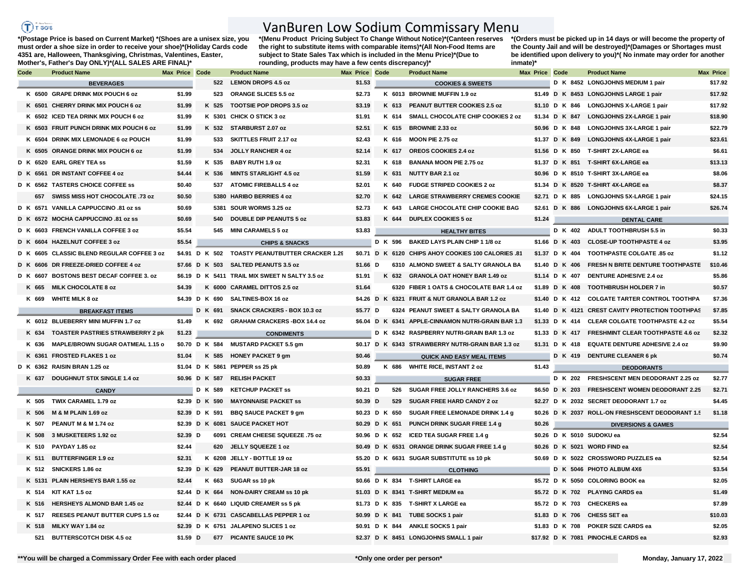## $(f)$  rees

## VanBuren Low Sodium Commissary Menu

**\*(Postage Price is based on Current Market) \*(Shoes are a unisex size, you must order a shoe size in order to receive your shoe)\*(Holiday Cards code 4351 are, Halloween, Thanksgiving, Christmas, Valentines, Easter, Mother's, Father's Day ONLY)\*(ALL SALES ARE FINAL)\***

**\*(Menu Product Pricing Subject To Change Without Notice)\*(Canteen reserves the right to substitute items with comparable items)\*(All Non-Food Items are subject to State Sales Tax which is included in the Menu Price)\*(Due to rounding, products may have a few cents discrepancy)\*** 

**\*(Orders must be picked up in 14 days or will become the property of the County Jail and will be destroyed)\*(Damages or Shortages must be identified upon delivery to you)\*( No inmate may order for another inmate)\***

| Code |       | <b>Product Name</b>                        | Max Price Code |                | <b>Product Name</b>                             | Max Price Code |                |       | <b>Product Name</b>                                 | Max Price Code |  | <b>Product Name</b>                              | Max Price |
|------|-------|--------------------------------------------|----------------|----------------|-------------------------------------------------|----------------|----------------|-------|-----------------------------------------------------|----------------|--|--------------------------------------------------|-----------|
|      |       | <b>BEVERAGES</b>                           |                |                | 522 LEMON DROPS 4.5 oz                          | \$1.53         |                |       | <b>COOKIES &amp; SWEETS</b>                         |                |  | D K 8452 LONGJOHNS MEDIUM 1 pair                 | \$17.92   |
|      |       | K 6500 GRAPE DRINK MIX POUCH 6 oz          | \$1.99         | 523            | <b>ORANGE SLICES 5.5 oz</b>                     | \$2.73         |                |       | K 6013 BROWNIE MUFFIN 1.9 oz                        |                |  | \$1.49 D K 8453 LONGJOHNS LARGE 1 pair           | \$17.92   |
|      |       | K 6501 CHERRY DRINK MIX POUCH 6 oz         | \$1.99         | K 525          | TOOTSIE POP DROPS 3.5 oz                        | \$3.19         |                |       | K 613 PEANUT BUTTER COOKIES 2.5 oz                  |                |  | \$1.10 D K 846 LONGJOHNS X-LARGE 1 pair          | \$17.92   |
|      |       | K 6502 ICED TEA DRINK MIX POUCH 6 oz       | \$1.99         |                | K 5301 CHICK O STICK 3 oz                       | \$1.91         |                |       | K 614 SMALL CHOCOLATE CHIP COOKIES 2 oz             |                |  | \$1.34 D K 847 LONGJOHNS 2X-LARGE 1 pair         | \$18.90   |
|      |       | K 6503 FRUIT PUNCH DRINK MIX POUCH 6 oz    | \$1.99         | K 532          | STARBURST 2.07 oz                               | \$2.51         |                |       | K 615 BROWNIE 2.33 oz                               |                |  | \$0.96 D K 848 LONGJOHNS 3X-LARGE 1 pair         | \$22.79   |
|      |       | K 6504 DRINK MIX LEMONADE 6 oz POUCH       | \$1.99         | 533            | <b>SKITTLES FRUIT 2.17 oz</b>                   | \$2.43         |                |       | K 616 MOON PIE 2.75 oz                              |                |  | \$1.37 D K 849 LONGJOHNS 4X-LARGE 1 pair         | \$23.61   |
|      |       | K 6505 ORANGE DRINK MIX POUCH 6 oz         | \$1.99         | 534            | <b>JOLLY RANCHER 4 oz</b>                       | \$2.14         |                |       | K 617 OREOS COOKIES 2.4 oz                          |                |  | \$1.56 D K 850 T-SHIRT 2X-LARGE ea               | \$6.61    |
|      |       | D K 6520 EARL GREY TEA ss                  | \$1.59         | K 535          | BABY RUTH 1.9 oz                                | \$2.31         |                |       | K 618 BANANA MOON PIE 2.75 oz                       |                |  | \$1.37 D K 851 T-SHIRT 6X-LARGE ea               | \$13.13   |
|      |       | D K 6561 DR INSTANT COFFEE 4 oz            | \$4.44         | K 536          | <b>MINTS STARLIGHT 4.5 oz</b>                   | \$1.59         |                | K 631 | <b>NUTTY BAR 2.1 oz</b>                             |                |  | \$0.96 D K 8510 T-SHIRT 3X-LARGE ea              | \$8.06    |
|      |       | D K 6562 TASTERS CHOICE COFFEE SS          | \$0.40         | 537            | <b>ATOMIC FIREBALLS 4 oz</b>                    | \$2.01         |                |       | K 640 FUDGE STRIPED COOKIES 2 oz                    |                |  | \$1.34 D K 8520 T-SHIRT 4X-LARGE ea              | \$8.37    |
|      |       | 657 SWISS MISS HOT CHOCOLATE .73 oz        | \$0.50         |                | 5380 HARIBO BERRIES 4 oz                        | \$2.70         |                |       | K 642 LARGE STRAWBERRY CREMES COOKIE                |                |  | \$2.71 D K 885 LONGJOHNS 5X-LARGE 1 pair         | \$24.15   |
|      |       | D K 6571 VANILLA CAPPUCCINO .81 oz ss      | \$0.69         |                | 5381 SOUR WORMS 3.25 oz                         | \$2.73         |                | K 643 | <b>LARGE CHOCOLATE CHIP COOKIE BAG</b>              |                |  | \$2.61 D K 886 LONGJOHNS 6X-LARGE 1 pair         | \$26.74   |
|      |       | D K 6572 MOCHA CAPPUCCINO .81 oz ss        | \$0.69         | 540            | <b>DOUBLE DIP PEANUTS 5 oz</b>                  | \$3.83         |                |       | K 644 DUPLEX COOKIES 5 oz                           | \$1.24         |  | <b>DENTAL CARE</b>                               |           |
|      |       | D K 6603 FRENCH VANILLA COFFEE 3 oz        | \$5.54         |                | 545 MINI CARAMELS 5 oz                          | \$3.83         |                |       | <b>HEALTHY BITES</b>                                |                |  | D K 402 ADULT TOOTHBRUSH 5.5 in                  | \$0.33    |
|      |       | D K 6604 HAZELNUT COFFEE 3 oz              | \$5.54         |                | <b>CHIPS &amp; SNACKS</b>                       |                |                |       | D K 596 BAKED LAYS PLAIN CHIP 1 1/8 oz              |                |  | \$1.66 D K 403 CLOSE-UP TOOTHPASTE 4 oz          | \$3.95    |
|      |       | D K 6605 CLASSIC BLEND REGULAR COFFEE 3 oz |                |                | \$4.91 D K 502 TOASTY PEANUTBUTTER CRACKER 1.29 |                |                |       | \$0.71 D K 6120 CHIPS AHOY COOKIES 100 CALORIES .81 |                |  | \$1.37 D K 404 TOOTHPASTE COLGATE .85 oz         | \$1.12    |
|      |       | D K 6606 DR FREEZE-DRIED COFFEE 4 oz       |                |                | \$7.66 D K 503 SALTED PEANUTS 3.5 oz            | $$1.66$ D      |                |       | 6310 ALMOND SWEET & SALTY GRANOLA BA                |                |  | \$1.40 D K 406 FRESH N BRITE DENTURE TOOTHPASTE  | \$10.46   |
|      |       | D K 6607 BOSTONS BEST DECAF COFFEE 3, oz   |                |                | \$6.19 D K 5411 TRAIL MIX SWEET N SALTY 3.5 oz  | \$1.91         |                |       | K 632 GRANOLA OAT HONEY BAR 1.49 oz                 |                |  | \$1.14 D K 407 DENTURE ADHESIVE 2.4 oz           | \$5.86    |
|      |       | K 665 MILK CHOCOLATE 8 oz                  | \$4.39         |                | K 6000 CARAMEL DITTOS 2.5 oz                    | \$1.64         |                |       | 6320 FIBER 1 OATS & CHOCOLATE BAR 1.4 oz            |                |  | \$1.89 D K 408 TOOTHBRUSH HOLDER 7 in            | \$0.57    |
|      |       | K 669 WHITE MILK 8 oz                      |                | \$4.39 D K 690 | <b>SALTINES-BOX 16 oz</b>                       |                |                |       | \$4.26 D K 6321 FRUIT & NUT GRANOLA BAR 1.2 oz      |                |  | \$1.40 D K 412 COLGATE TARTER CONTROL TOOTHPA    | \$7.36    |
|      |       | <b>BREAKFAST ITEMS</b>                     |                | D K 691        | <b>SNACK CRACKERS - BOX 10.3 oz</b>             | \$5.77 D       |                |       | 6324 PEANUT SWEET & SALTY GRANOLA BA                |                |  | \$1.40 D K 4121 CREST CAVITY PROTECTION TOOTHPAS | \$7.85    |
|      |       | K 6012 BLUEBERRY MINI MUFFIN 1.7 oz        | \$1.49         |                | K 692 GRAHAM CRACKERS-BOX 14.4 oz               |                |                |       | \$6.04 D K 6341 APPLE-CINNAMON NUTRI-GRAIN BAR 1.3  |                |  | \$1.33 D K 414 CLEAR COLGATE TOOTHPASTE 4.2 oz   | \$5.54    |
|      |       | K 634 TOASTER PASTRIES STRAWBERRY 2 pk     | \$1.23         |                | <b>CONDIMENTS</b>                               |                |                |       | D K 6342 RASPBERRY NUTRI-GRAIN BAR 1.3 oz           |                |  | \$1.33 D K 417 FRESHMINT CLEAR TOOTHPASTE 4.6 oz | \$2.32    |
|      |       | K 636 MAPLE/BROWN SUGAR OATMEAL 1.15 o     |                | \$0.70 D K 584 | <b>MUSTARD PACKET 5.5 gm</b>                    |                |                |       | \$0.17 D K 6343 STRAWBERRY NUTRI-GRAIN BAR 1.3 oz   |                |  | \$1.31 D K 418 EQUATE DENTURE ADHESIVE 2.4 oz    | \$9.90    |
|      |       | K 6361 FROSTED FLAKES 1 oz                 | \$1.04         | K 585          | <b>HONEY PACKET 9 gm</b>                        | \$0.46         |                |       | <b>QUICK AND EASY MEAL ITEMS</b>                    |                |  | D K 419 DENTURE CLEANER 6 pk                     | \$0.74    |
|      |       | D K 6362 RAISIN BRAN 1.25 oz               |                |                | \$1.04 D K 5861 PEPPER ss 25 pk                 | \$0.89         |                |       | K 686 WHITE RICE. INSTANT 2 oz                      | \$1.43         |  | <b>DEODORANTS</b>                                |           |
|      |       | K 637 DOUGHNUT STIX SINGLE 1.4 oz          |                | \$0.96 D K 587 | <b>RELISH PACKET</b>                            | \$0.33         |                |       | <b>SUGAR FREE</b>                                   |                |  | D K 202 FRESHSCENT MEN DEODORANT 2.25 oz         | \$2.77    |
|      |       | <b>CANDY</b>                               |                | D K 589        | <b>KETCHUP PACKET SS</b>                        | $$0.21$ D      |                | 526   | SUGAR FREE JOLLY RANCHERS 3.6 oz                    |                |  | \$6.50 D K 203 FRESHSCENT WOMEN DEODORANT 2.25   | \$2.71    |
|      |       | K 505 TWIX CARAMEL 1.79 oz                 |                | \$2.39 D K 590 | <b>MAYONNAISE PACKET SS</b>                     | \$0.39 D       |                | 529   | <b>SUGAR FREE HARD CANDY 2 oz</b>                   |                |  | \$2.27 D K 2032 SECRET DEODORANT 1.7 oz          | \$4.45    |
|      |       | K 506 M & M PLAIN 1.69 oz                  |                | \$2.39 D K 591 | <b>BBQ SAUCE PACKET 9 gm</b>                    |                | \$0.23 D K 650 |       | SUGAR FREE LEMONADE DRINK 1.4 g                     |                |  | \$0.26 D K 2037 ROLL-ON FRESHSCENT DEODORANT 1.5 | \$1.18    |
|      |       | K 507 PEANUT M & M 1.74 oz                 |                |                | \$2.39 D K 6081 SAUCE PACKET HOT                |                | \$0.29 D K 651 |       | <b>PUNCH DRINK SUGAR FREE 1.4 g</b>                 | \$0.26         |  | <b>DIVERSIONS &amp; GAMES</b>                    |           |
|      |       | K 508 3 MUSKETEERS 1.92 oz                 | $$2.39$ D      |                | 6091 CREAM CHEESE SQUEEZE .75 oz                |                |                |       | \$0.96 D K 652 ICED TEA SUGAR FREE 1.4 g            |                |  | \$0.26 D K 5010 SUDOKU ea                        | \$2.54    |
|      |       | K 510 PAYDAY 1.85 oz                       | \$2.44         | 620            | JELLY SQUEEZE 1 oz                              |                |                |       | \$0.49 D K 6531 ORANGE DRINK SUGAR FREE 1.4 g       |                |  | \$0.26 D K 5021 WORD FIND ea                     | \$2.54    |
|      | K 511 | <b>BUTTERFINGER 1.9 oz</b>                 | \$2.31         |                | K 6208 JELLY - BOTTLE 19 oz                     |                |                |       | \$5.20 D K 6631 SUGAR SUBSTITUTE ss 10 pk           |                |  | \$0.69 D K 5022 CROSSWORD PUZZLES ea             | \$2.54    |
|      |       | K 512 SNICKERS 1.86 oz                     |                |                | \$2.39 D K 629 PEANUT BUTTER-JAR 18 oz          | \$5.91         |                |       | <b>CLOTHING</b>                                     |                |  | D K 5046 PHOTO ALBUM 4X6                         | \$3.54    |
|      |       | K 5131 PLAIN HERSHEYS BAR 1.55 oz          | \$2.44         | K 663          | SUGAR ss 10 pk                                  |                |                |       | \$0.66 D K 834 T-SHIRT LARGE ea                     |                |  | \$5.72 D K 5050 COLORING BOOK ea                 | \$2.05    |
|      |       | K 514 KIT KAT 1.5 oz                       |                | \$2.44 D K 664 | <b>NON-DAIRY CREAM ss 10 pk</b>                 |                |                |       | \$1.03 D K 8341 T-SHIRT MEDIUM ea                   |                |  | \$5.72 D K 702 PLAYING CARDS ea                  | \$1.49    |
|      | K 516 | <b>HERSHEYS ALMOND BAR 1.45 oz</b>         |                |                | \$2.44 D K 6640 LIQUID CREAMER ss 5 pk          |                |                |       | \$1.73 D K 835 T-SHIRT X LARGE ea                   |                |  | \$5.72 D K 703 CHECKERS ea                       | \$7.89    |
|      | K 517 | <b>REESES PEANUT BUTTER CUPS 1.5 oz</b>    |                |                | \$2.44 D K 6731 CASCABELLAS PEPPER 1 oz         |                |                |       | \$0.99 D K 841 TUBE SOCKS 1 pair                    |                |  | \$1.83 D K 706 CHESS SET ea                      | \$10.03   |
|      |       | K 518 MILKY WAY 1.84 oz                    |                |                | \$2.39 D K 6751 JALAPENO SLICES 1 oz            |                |                |       | \$0.91 D K 844 ANKLE SOCKS 1 pair                   |                |  | \$1.83 D K 708 POKER SIZE CARDS ea               | \$2.05    |
|      |       | 521 BUTTERSCOTCH DISK 4.5 oz               | $$1.59$ D      |                | 677 PICANTE SAUCE 10 PK                         |                |                |       | \$2.37 D K 8451 LONGJOHNS SMALL 1 pair              |                |  | \$17.92 D K 7081 PINOCHLE CARDS ea               | \$2.93    |
|      |       |                                            |                |                |                                                 |                |                |       |                                                     |                |  |                                                  |           |